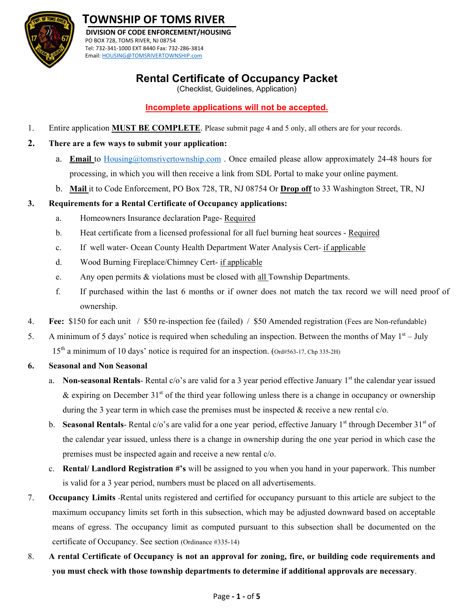

# **TOWNSHIP OF TOMS RIVER**

 **DIVISION OF CODE ENFORCEMENT/HOUSING** PO BOX 728, TOMS RIVER, NJ 08754 Tel: 732‐341‐1000 EXT 8440 Fax: 732‐286‐3814 Email: HOUSING@TOMSRIVERTOWNSHIP.com

## **Rental Certificate of Occupancy Packet**

(Checklist, Guidelines, Application)

## **Incomplete applications will not be accepted.**

1. Entire application **MUST BE COMPLETE**. Please submit page 4 and 5 only, all others are for your records.

### **2. There are a few ways to submit your application:**

- a. **Email** to Housing@tomsrivertownship.com . Once emailed please allow approximately 24-48 hours for processing, in which you will then receive a link from SDL Portal to make your online payment.
- b. **Mail** it to Code Enforcement, PO Box 728, TR, NJ 08754 Or **Drop off** to 33 Washington Street, TR, NJ

## **3. Requirements for a Rental Certificate of Occupancy applications:**

- a. Homeowners Insurance declaration Page- Required
- b. Heat certificate from a licensed professional for all fuel burning heat sources Required
- c. If well water- Ocean County Health Department Water Analysis Cert- if applicable
- d. Wood Burning Fireplace/Chimney Cert- if applicable
- e. Any open permits & violations must be closed with all Township Departments.
- f. If purchased within the last 6 months or if owner does not match the tax record we will need proof of ownership.
- 4. **Fee:** \$150 for each unit / \$50 re-inspection fee (failed) / \$50 Amended registration (Fees are Non-refundable)
- 5. A minimum of 5 days' notice is required when scheduling an inspection. Between the months of May  $1<sup>st</sup> July$ 15th a minimum of 10 days' notice is required for an inspection. (Ord#563-17, Chp 335-2H)

#### **6. Seasonal and Non Seasonal**

- a. **Non-seasonal Rentals-** Rental c/o's are valid for a 3 year period effective January 1<sup>st</sup> the calendar year issued & expiring on December  $31<sup>st</sup>$  of the third year following unless there is a change in occupancy or ownership during the 3 year term in which case the premises must be inspected  $\&$  receive a new rental  $c$ /o.
- b. **Seasonal Rentals-** Rental c/o's are valid for a one year period, effective January  $1<sup>st</sup>$  through December  $31<sup>st</sup>$  of the calendar year issued, unless there is a change in ownership during the one year period in which case the premises must be inspected again and receive a new rental c/o.
- c. **Rental/ Landlord Registration #'s** will be assigned to you when you hand in your paperwork. This number is valid for a 3 year period, numbers must be placed on all advertisements.
- 7. **Occupancy Limits** -Rental units registered and certified for occupancy pursuant to this article are subject to the maximum occupancy limits set forth in this subsection, which may be adjusted downward based on acceptable means of egress. The occupancy limit as computed pursuant to this subsection shall be documented on the certificate of Occupancy. See section (Ordinance #335-14)
- 8. **A rental Certificate of Occupancy is not an approval for zoning, fire, or building code requirements and you must check with those township departments to determine if additional approvals are necessary**.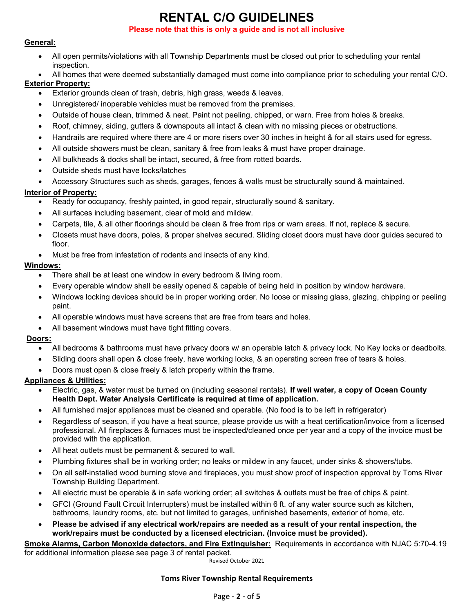# **RENTAL C/O GUIDELINES**

#### **Please note that this is only a guide and is not all inclusive**

#### **General:**

- All open permits/violations with all Township Departments must be closed out prior to scheduling your rental inspection.
- All homes that were deemed substantially damaged must come into compliance prior to scheduling your rental C/O.

#### **Exterior Property:**

- Exterior grounds clean of trash, debris, high grass, weeds & leaves.
- Unregistered/ inoperable vehicles must be removed from the premises.
- Outside of house clean, trimmed & neat. Paint not peeling, chipped, or warn. Free from holes & breaks.
- Roof, chimney, siding, gutters & downspouts all intact & clean with no missing pieces or obstructions.
- Handrails are required where there are 4 or more risers over 30 inches in height & for all stairs used for egress.
- All outside showers must be clean, sanitary & free from leaks & must have proper drainage.
- All bulkheads & docks shall be intact, secured, & free from rotted boards.
- Outside sheds must have locks/latches
- Accessory Structures such as sheds, garages, fences & walls must be structurally sound & maintained.

#### **Interior of Property:**

- Ready for occupancy, freshly painted, in good repair, structurally sound & sanitary.
- All surfaces including basement, clear of mold and mildew.
- Carpets, tile, & all other floorings should be clean & free from rips or warn areas. If not, replace & secure.
- Closets must have doors, poles, & proper shelves secured. Sliding closet doors must have door guides secured to floor.
- Must be free from infestation of rodents and insects of any kind.

#### **Windows:**

- There shall be at least one window in every bedroom & living room.
- Every operable window shall be easily opened & capable of being held in position by window hardware.
- Windows locking devices should be in proper working order. No loose or missing glass, glazing, chipping or peeling paint.
- All operable windows must have screens that are free from tears and holes.
- All basement windows must have tight fitting covers.

#### **Doors:**

- All bedrooms & bathrooms must have privacy doors w/ an operable latch & privacy lock. No Key locks or deadbolts.
- Sliding doors shall open & close freely, have working locks, & an operating screen free of tears & holes.
- Doors must open & close freely & latch properly within the frame.

#### **Appliances & Utilities:**

- Electric, gas, & water must be turned on (including seasonal rentals). **If well water, a copy of Ocean County Health Dept. Water Analysis Certificate is required at time of application.**
- All furnished major appliances must be cleaned and operable. (No food is to be left in refrigerator)
- Regardless of season, if you have a heat source, please provide us with a heat certification/invoice from a licensed professional. All fireplaces & furnaces must be inspected/cleaned once per year and a copy of the invoice must be provided with the application.
- All heat outlets must be permanent & secured to wall.
- Plumbing fixtures shall be in working order; no leaks or mildew in any faucet, under sinks & showers/tubs.
- On all self-installed wood burning stove and fireplaces, you must show proof of inspection approval by Toms River Township Building Department.
- All electric must be operable & in safe working order; all switches & outlets must be free of chips & paint.
- GFCI (Ground Fault Circuit Interrupters) must be installed within 6 ft. of any water source such as kitchen, bathrooms, laundry rooms, etc. but not limited to garages, unfinished basements, exterior of home, etc.
- **Please be advised if any electrical work/repairs are needed as a result of your rental inspection, the work/repairs must be conducted by a licensed electrician. (Invoice must be provided).**

#### **Smoke Alarms, Carbon Monoxide detectors, and Fire Extinguisher:** Requirements in accordance with NJAC 5:70-4.19 for additional information please see page 3 of rental packet.

Revised October 2021

#### **Toms River Township Rental Requirements**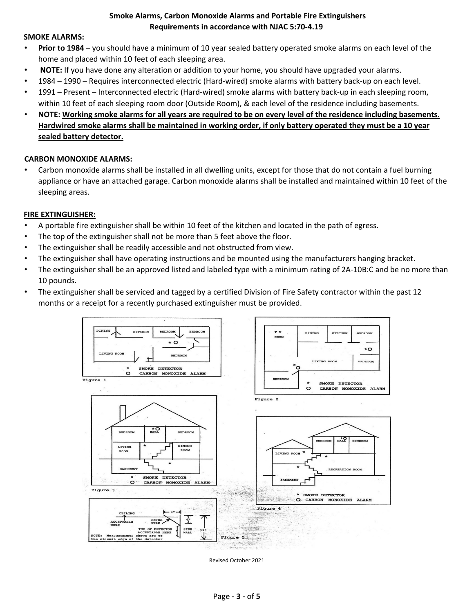#### **Smoke Alarms, Carbon Monoxide Alarms and Portable Fire Extinguishers Requirements in accordance with NJAC 5:70‐4.19**

#### **SMOKE ALARMS:**

- **Prior to 1984** you should have a minimum of 10 year sealed battery operated smoke alarms on each level of the home and placed within 10 feet of each sleeping area.
- **NOTE:** If you have done any alteration or addition to your home, you should have upgraded your alarms.
- 1984 1990 Requires interconnected electric (Hard‐wired) smoke alarms with battery back‐up on each level.
- 1991 Present Interconnected electric (Hard‐wired) smoke alarms with battery back‐up in each sleeping room, within 10 feet of each sleeping room door (Outside Room), & each level of the residence including basements.
- NOTE: Working smoke alarms for all years are required to be on every level of the residence including basements. Hardwired smoke alarms shall be maintained in working order, if only battery operated they must be a 10 year **sealed battery detector.**

#### **CARBON MONOXIDE ALARMS:**

• Carbon monoxide alarms shall be installed in all dwelling units, except for those that do not contain a fuel burning appliance or have an attached garage. Carbon monoxide alarms shall be installed and maintained within 10 feet of the sleeping areas.

#### **FIRE EXTINGUISHER:**

- A portable fire extinguisher shall be within 10 feet of the kitchen and located in the path of egress.
- The top of the extinguisher shall not be more than 5 feet above the floor.
- The extinguisher shall be readily accessible and not obstructed from view.
- The extinguisher shall have operating instructions and be mounted using the manufacturers hanging bracket.
- The extinguisher shall be an approved listed and labeled type with a minimum rating of 2A-10B:C and be no more than 10 pounds.
- The extinguisher shall be serviced and tagged by a certified Division of Fire Safety contractor within the past 12 months or a receipt for a recently purchased extinguisher must be provided.



Revised October 2021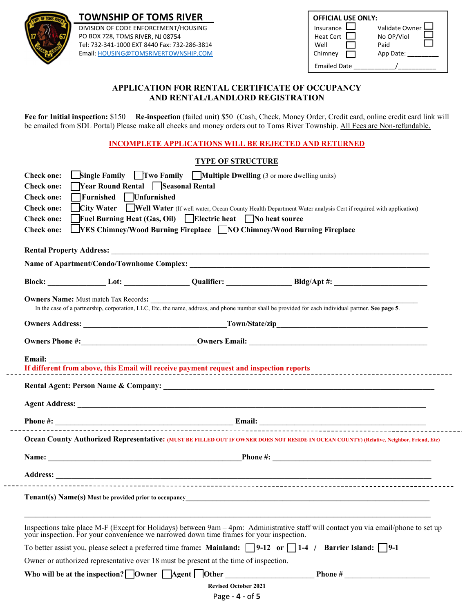

 $- - -$ 

**TOWNSHIP OF TOMS RIVER** 

DIVISION OF CODE ENFORCEMENT/HOUSING PO BOX 728, TOMS RIVER, NJ 08754 Tel: 732-341-1000 EXT 8440 Fax: 732-286-3814 Email: HOUSING@TOMSRIVERTOWNSHIP.COM

| <b>OFFICIAL USE ONLY:</b><br>Insurance<br>Heat Cert II<br>Well<br>Chimney | Validate Owner<br>No OP/Viol<br>Paid<br>App Date: |
|---------------------------------------------------------------------------|---------------------------------------------------|
| <b>Emailed Date</b>                                                       |                                                   |

#### **APPLICATION FOR RENTAL CERTIFICATE OF OCCUPANCY AND RENTAL/LANDLORD REGISTRATION**

**Fee for Initial inspection:** \$150 **Re-inspection** (failed unit) \$50 (Cash, Check, Money Order, Credit card, online credit card link will be emailed from SDL Portal) Please make all checks and money orders out to Toms River Township. All Fees are Non-refundable.

**INCOMPLETE APPLICATIONS WILL BE REJECTED AND RETURNED** 

#### **TYPE OF STRUCTURE**

| <b>Single Family</b> $\blacksquare$ Two Family $\blacksquare$ Multiple Dwelling (3 or more dwelling units)<br><b>Check one:</b><br>Year Round Rental Seasonal Rental<br><b>Check one:</b><br>□Furnished □Unfurnished<br><b>Check one:</b><br>City Water Well Water (If well water, Ocean County Health Department Water analysis Cert if required with application)<br><b>Check one:</b><br>Fuel Burning Heat (Gas, Oil) Electric heat No heat source<br><b>Check one:</b><br><u>NES Chimney/Wood Burning Fireplace ■ NO Chimney/Wood Burning Fireplace</u><br><b>Check one:</b> |
|----------------------------------------------------------------------------------------------------------------------------------------------------------------------------------------------------------------------------------------------------------------------------------------------------------------------------------------------------------------------------------------------------------------------------------------------------------------------------------------------------------------------------------------------------------------------------------|
|                                                                                                                                                                                                                                                                                                                                                                                                                                                                                                                                                                                  |
| Block: Lot: Lot: Qualifier: Qualifier: Bldg/Apt #: Lot: Lot: Qualifier: Reserve the Bldg/Apt #: Lot: Reserve the Bldg Apt #: Lot: Reserve the Bldg Apt #: Lot: Reserve the Bldg Apt #: Lot: Reserve the Bldg Apt #: Lot: Reser                                                                                                                                                                                                                                                                                                                                                   |
| <b>Owners Name:</b> Must match Tax Records:<br>In the case of a partnership, corporation, LLC, Etc. the name, address, and phone number shall be provided for each individual partner. See page 5.                                                                                                                                                                                                                                                                                                                                                                               |
|                                                                                                                                                                                                                                                                                                                                                                                                                                                                                                                                                                                  |
|                                                                                                                                                                                                                                                                                                                                                                                                                                                                                                                                                                                  |
| Email:                                                                                                                                                                                                                                                                                                                                                                                                                                                                                                                                                                           |
|                                                                                                                                                                                                                                                                                                                                                                                                                                                                                                                                                                                  |
|                                                                                                                                                                                                                                                                                                                                                                                                                                                                                                                                                                                  |
|                                                                                                                                                                                                                                                                                                                                                                                                                                                                                                                                                                                  |
| Ocean County Authorized Representative: (MUST BE FILLED OUT IF OWNER DOES NOT RESIDE IN OCEAN COUNTY) (Relative, Neighbor, Friend, Etc)                                                                                                                                                                                                                                                                                                                                                                                                                                          |
|                                                                                                                                                                                                                                                                                                                                                                                                                                                                                                                                                                                  |
|                                                                                                                                                                                                                                                                                                                                                                                                                                                                                                                                                                                  |
|                                                                                                                                                                                                                                                                                                                                                                                                                                                                                                                                                                                  |
| Inspections take place M-F (Except for Holidays) between 9am – 4pm: Administrative staff will contact you via email/phone to set up your inspection. For your convenience we narrowed down time frames for your inspection.                                                                                                                                                                                                                                                                                                                                                      |
| To better assist you, please select a preferred time frame: Mainland: $\Box$ 9-12 or $\Box$ 1-4 / Barrier Island: $\Box$ 9-1                                                                                                                                                                                                                                                                                                                                                                                                                                                     |
| Owner or authorized representative over 18 must be present at the time of inspection.                                                                                                                                                                                                                                                                                                                                                                                                                                                                                            |
| Who will be at the inspection? Owner $\Box$ Agent $\Box$ Other                                                                                                                                                                                                                                                                                                                                                                                                                                                                                                                   |
| <b>Revised October 2021</b>                                                                                                                                                                                                                                                                                                                                                                                                                                                                                                                                                      |